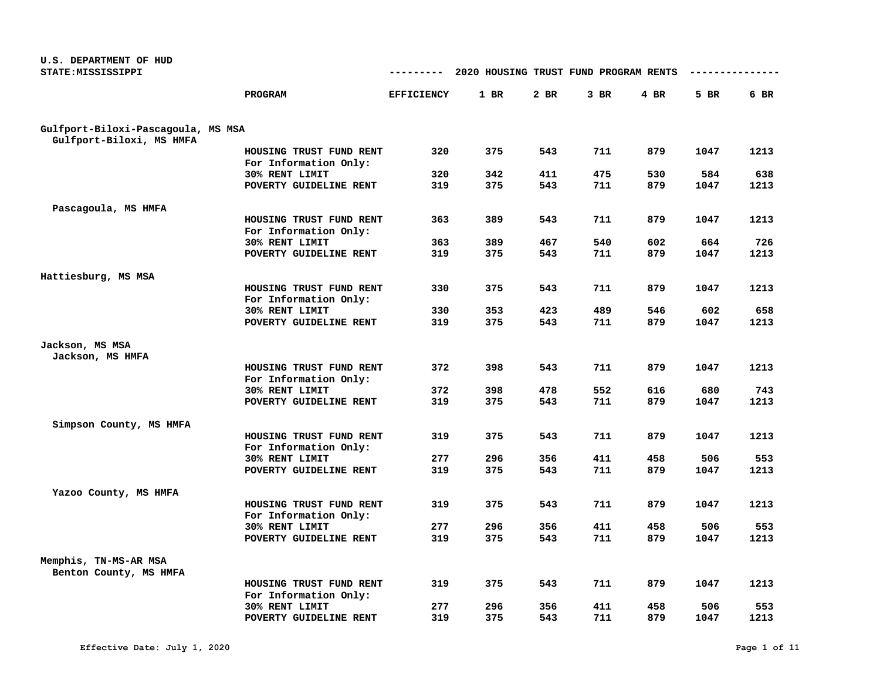| U.S. DEPARTMENT OF HUD             |                                                  |                   |                                       |        |      |        |      |      |
|------------------------------------|--------------------------------------------------|-------------------|---------------------------------------|--------|------|--------|------|------|
| STATE: MISSISSIPPI                 |                                                  | ---------         | 2020 HOUSING TRUST FUND PROGRAM RENTS |        |      |        |      |      |
|                                    | PROGRAM                                          | <b>EFFICIENCY</b> | $1$ BR                                | $2$ BR | 3 BR | $4$ BR | 5 BR | 6 BR |
|                                    |                                                  |                   |                                       |        |      |        |      |      |
| Gulfport-Biloxi-Pascagoula, MS MSA |                                                  |                   |                                       |        |      |        |      |      |
| Gulfport-Biloxi, MS HMFA           |                                                  |                   |                                       |        |      |        |      |      |
|                                    | HOUSING TRUST FUND RENT<br>For Information Only: | 320               | 375                                   | 543    | 711  | 879    | 1047 | 1213 |
|                                    | 30% RENT LIMIT                                   | 320               | 342                                   | 411    | 475  | 530    | 584  | 638  |
|                                    | POVERTY GUIDELINE RENT                           | 319               | 375                                   | 543    | 711  | 879    | 1047 | 1213 |
| Pascagoula, MS HMFA                |                                                  |                   |                                       |        |      |        |      |      |
|                                    | HOUSING TRUST FUND RENT                          | 363               | 389                                   | 543    | 711  | 879    | 1047 | 1213 |
|                                    | For Information Only:                            |                   |                                       |        |      |        |      |      |
|                                    | 30% RENT LIMIT                                   | 363               | 389                                   | 467    | 540  | 602    | 664  | 726  |
|                                    | POVERTY GUIDELINE RENT                           | 319               | 375                                   | 543    | 711  | 879    | 1047 | 1213 |
| Hattiesburg, MS MSA                |                                                  |                   |                                       |        |      |        |      |      |
|                                    | HOUSING TRUST FUND RENT                          | 330               | 375                                   | 543    | 711  | 879    | 1047 | 1213 |
|                                    | For Information Only:                            |                   |                                       |        |      |        |      |      |
|                                    | 30% RENT LIMIT                                   | 330               | 353                                   | 423    | 489  | 546    | 602  | 658  |
|                                    | POVERTY GUIDELINE RENT                           | 319               | 375                                   | 543    | 711  | 879    | 1047 | 1213 |
| Jackson, MS MSA                    |                                                  |                   |                                       |        |      |        |      |      |
| Jackson, MS HMFA                   |                                                  |                   |                                       |        |      |        |      |      |
|                                    | HOUSING TRUST FUND RENT<br>For Information Only: | 372               | 398                                   | 543    | 711  | 879    | 1047 | 1213 |
|                                    | 30% RENT LIMIT                                   | 372               | 398                                   | 478    | 552  | 616    | 680  | 743  |
|                                    | POVERTY GUIDELINE RENT                           | 319               | 375                                   | 543    | 711  | 879    | 1047 | 1213 |
| Simpson County, MS HMFA            |                                                  |                   |                                       |        |      |        |      |      |
|                                    | HOUSING TRUST FUND RENT                          | 319               | 375                                   | 543    | 711  | 879    | 1047 | 1213 |
|                                    | For Information Only:                            |                   |                                       |        |      |        |      |      |
|                                    | 30% RENT LIMIT                                   | 277               | 296                                   | 356    | 411  | 458    | 506  | 553  |
|                                    | POVERTY GUIDELINE RENT                           | 319               | 375                                   | 543    | 711  | 879    | 1047 | 1213 |
|                                    |                                                  |                   |                                       |        |      |        |      |      |
| Yazoo County, MS HMFA              |                                                  | 319               | 375                                   | 543    | 711  | 879    | 1047 | 1213 |
|                                    | HOUSING TRUST FUND RENT                          |                   |                                       |        |      |        |      |      |
|                                    | For Information Only:<br>30% RENT LIMIT          | 277               | 296                                   | 356    | 411  | 458    | 506  | 553  |
|                                    | POVERTY GUIDELINE RENT                           | 319               | 375                                   | 543    | 711  | 879    | 1047 | 1213 |
|                                    |                                                  |                   |                                       |        |      |        |      |      |
| Memphis, TN-MS-AR MSA              |                                                  |                   |                                       |        |      |        |      |      |
| Benton County, MS HMFA             |                                                  |                   |                                       |        |      |        |      |      |
|                                    | HOUSING TRUST FUND RENT<br>For Information Only: | 319               | 375                                   | 543    | 711  | 879    | 1047 | 1213 |
|                                    | 30% RENT LIMIT                                   | 277               | 296                                   | 356    | 411  | 458    | 506  | 553  |
|                                    | POVERTY GUIDELINE RENT                           | 319               | 375                                   | 543    | 711  | 879    | 1047 | 1213 |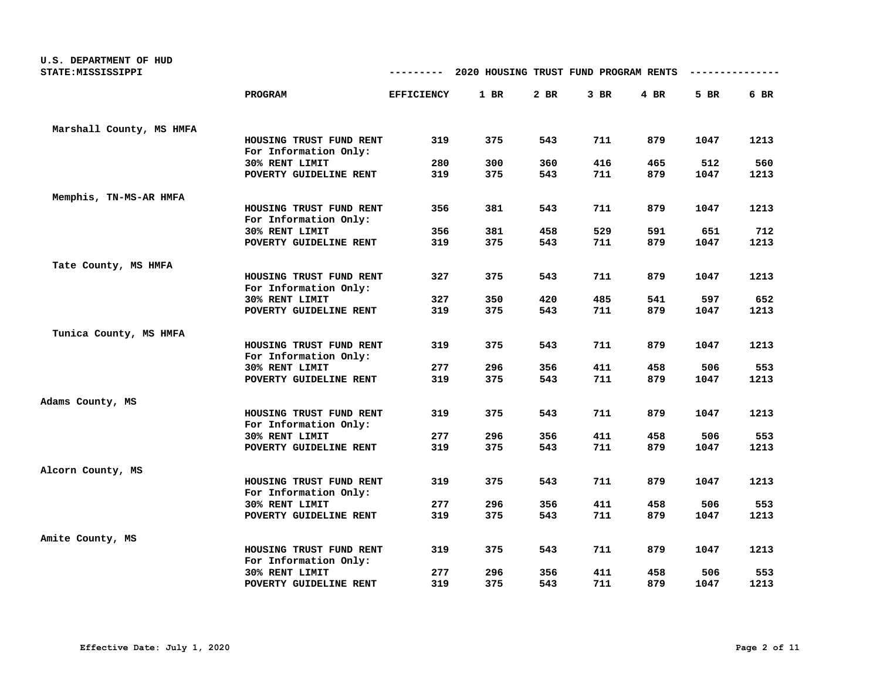| U.S. DEPARTMENT OF HUD<br>STATE: MISSISSIPPI |                                                  |                   | 2020 HOUSING TRUST FUND PROGRAM RENTS |            |            |            |             |             |
|----------------------------------------------|--------------------------------------------------|-------------------|---------------------------------------|------------|------------|------------|-------------|-------------|
|                                              | <b>PROGRAM</b>                                   | <b>EFFICIENCY</b> | 1 BR                                  | 2 BR       | $3$ BR     | $4$ BR     | 5 BR        | 6 BR        |
| Marshall County, MS HMFA                     |                                                  |                   |                                       |            |            |            |             |             |
|                                              | HOUSING TRUST FUND RENT<br>For Information Only: | 319               | 375                                   | 543        | 711        | 879        | 1047        | 1213        |
|                                              | 30% RENT LIMIT                                   | 280               | 300                                   | 360        | 416        | 465        | 512         | 560         |
|                                              | POVERTY GUIDELINE RENT                           | 319               | 375                                   | 543        | 711        | 879        | 1047        | 1213        |
| Memphis, TN-MS-AR HMFA                       |                                                  |                   |                                       |            |            |            |             |             |
|                                              | HOUSING TRUST FUND RENT                          | 356               | 381                                   | 543        | 711        | 879        | 1047        | 1213        |
|                                              | For Information Only:                            |                   |                                       |            |            |            |             |             |
|                                              | 30% RENT LIMIT<br>POVERTY GUIDELINE RENT         | 356<br>319        | 381<br>375                            | 458<br>543 | 529<br>711 | 591<br>879 | 651<br>1047 | 712<br>1213 |
|                                              |                                                  |                   |                                       |            |            |            |             |             |
| Tate County, MS HMFA                         |                                                  |                   |                                       |            |            |            |             |             |
|                                              | HOUSING TRUST FUND RENT                          | 327               | 375                                   | 543        | 711        | 879        | 1047        | 1213        |
|                                              | For Information Only:                            |                   |                                       |            |            |            |             |             |
|                                              | 30% RENT LIMIT<br>POVERTY GUIDELINE RENT         | 327<br>319        | 350<br>375                            | 420<br>543 | 485<br>711 | 541<br>879 | 597<br>1047 | 652<br>1213 |
|                                              |                                                  |                   |                                       |            |            |            |             |             |
| Tunica County, MS HMFA                       |                                                  |                   |                                       |            |            |            |             |             |
|                                              | HOUSING TRUST FUND RENT                          | 319               | 375                                   | 543        | 711        | 879        | 1047        | 1213        |
|                                              | For Information Only:                            |                   |                                       |            |            |            |             |             |
|                                              | 30% RENT LIMIT                                   | 277               | 296                                   | 356        | 411        | 458        | 506         | 553         |
|                                              | POVERTY GUIDELINE RENT                           | 319               | 375                                   | 543        | 711        | 879        | 1047        | 1213        |
| Adams County, MS                             |                                                  |                   |                                       |            |            |            |             |             |
|                                              | HOUSING TRUST FUND RENT                          | 319               | 375                                   | 543        | 711        | 879        | 1047        | 1213        |
|                                              | For Information Only:                            |                   |                                       |            |            |            |             |             |
|                                              | 30% RENT LIMIT                                   | 277               | 296                                   | 356        | 411        | 458        | 506         | 553         |
|                                              | POVERTY GUIDELINE RENT                           | 319               | 375                                   | 543        | 711        | 879        | 1047        | 1213        |
| Alcorn County, MS                            |                                                  |                   |                                       |            |            |            |             |             |
|                                              | HOUSING TRUST FUND RENT<br>For Information Only: | 319               | 375                                   | 543        | 711        | 879        | 1047        | 1213        |
|                                              | 30% RENT LIMIT                                   | 277               | 296                                   | 356        | 411        | 458        | 506         | 553         |
|                                              | POVERTY GUIDELINE RENT                           | 319               | 375                                   | 543        | 711        | 879        | 1047        | 1213        |
| Amite County, MS                             |                                                  |                   |                                       |            |            |            |             |             |
|                                              | HOUSING TRUST FUND RENT<br>For Information Only: | 319               | 375                                   | 543        | 711        | 879        | 1047        | 1213        |
|                                              | 30% RENT LIMIT                                   | 277               | 296                                   | 356        | 411        | 458        | 506         | 553         |
|                                              | POVERTY GUIDELINE RENT                           | 319               | 375                                   | 543        | 711        | 879        | 1047        | 1213        |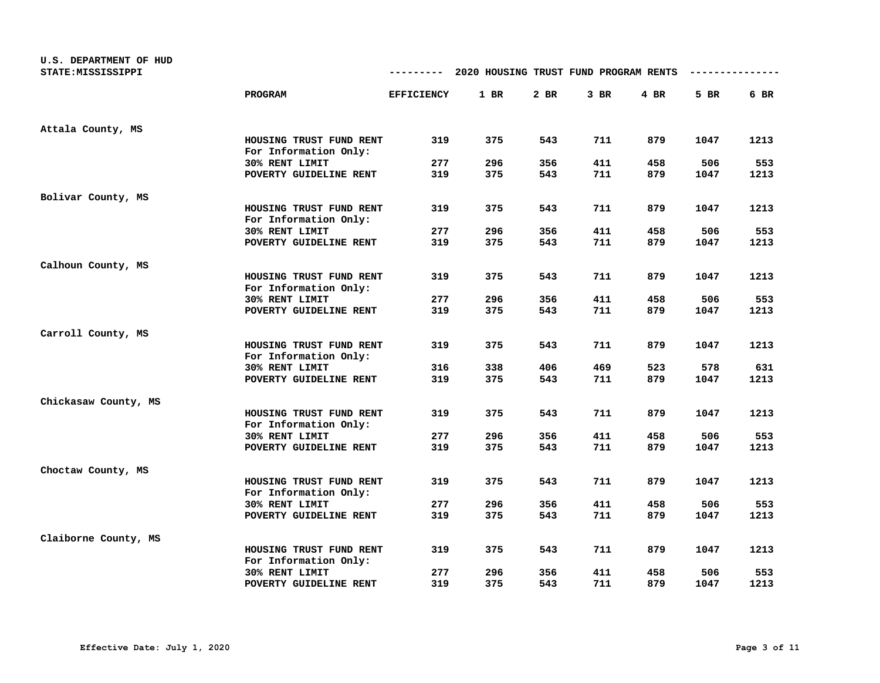| U.S. DEPARTMENT OF HUD<br>STATE: MISSISSIPPI |                                                  | ---------         | 2020 HOUSING TRUST FUND PROGRAM RENTS |        |        |        |      |      |
|----------------------------------------------|--------------------------------------------------|-------------------|---------------------------------------|--------|--------|--------|------|------|
|                                              | PROGRAM                                          | <b>EFFICIENCY</b> | 1 BR                                  | $2$ BR | $3$ BR | $4$ BR | 5 BR | 6 BR |
| Attala County, MS                            |                                                  |                   |                                       |        |        |        |      |      |
|                                              | HOUSING TRUST FUND RENT<br>For Information Only: | 319               | 375                                   | 543    | 711    | 879    | 1047 | 1213 |
|                                              | 30% RENT LIMIT                                   | 277               | 296                                   | 356    | 411    | 458    | 506  | 553  |
|                                              | POVERTY GUIDELINE RENT                           | 319               | 375                                   | 543    | 711    | 879    | 1047 | 1213 |
| Bolivar County, MS                           |                                                  |                   |                                       |        |        |        |      |      |
|                                              | HOUSING TRUST FUND RENT<br>For Information Only: | 319               | 375                                   | 543    | 711    | 879    | 1047 | 1213 |
|                                              | 30% RENT LIMIT                                   | 277               | 296                                   | 356    | 411    | 458    | 506  | 553  |
|                                              | POVERTY GUIDELINE RENT                           | 319               | 375                                   | 543    | 711    | 879    | 1047 | 1213 |
| Calhoun County, MS                           |                                                  |                   |                                       |        |        |        |      |      |
|                                              | HOUSING TRUST FUND RENT<br>For Information Only: | 319               | 375                                   | 543    | 711    | 879    | 1047 | 1213 |
|                                              | 30% RENT LIMIT                                   | 277               | 296                                   | 356    | 411    | 458    | 506  | 553  |
|                                              | POVERTY GUIDELINE RENT                           | 319               | 375                                   | 543    | 711    | 879    | 1047 | 1213 |
| Carroll County, MS                           |                                                  |                   |                                       |        |        |        |      |      |
|                                              | HOUSING TRUST FUND RENT<br>For Information Only: | 319               | 375                                   | 543    | 711    | 879    | 1047 | 1213 |
|                                              | 30% RENT LIMIT                                   | 316               | 338                                   | 406    | 469    | 523    | 578  | 631  |
|                                              | POVERTY GUIDELINE RENT                           | 319               | 375                                   | 543    | 711    | 879    | 1047 | 1213 |
| Chickasaw County, MS                         |                                                  |                   |                                       |        |        |        |      |      |
|                                              | HOUSING TRUST FUND RENT<br>For Information Only: | 319               | 375                                   | 543    | 711    | 879    | 1047 | 1213 |
|                                              | 30% RENT LIMIT                                   | 277               | 296                                   | 356    | 411    | 458    | 506  | 553  |
|                                              | POVERTY GUIDELINE RENT                           | 319               | 375                                   | 543    | 711    | 879    | 1047 | 1213 |
| Choctaw County, MS                           |                                                  |                   |                                       |        |        |        |      |      |
|                                              | HOUSING TRUST FUND RENT<br>For Information Only: | 319               | 375                                   | 543    | 711    | 879    | 1047 | 1213 |
|                                              | 30% RENT LIMIT                                   | 277               | 296                                   | 356    | 411    | 458    | 506  | 553  |
|                                              | POVERTY GUIDELINE RENT                           | 319               | 375                                   | 543    | 711    | 879    | 1047 | 1213 |
| Claiborne County, MS                         |                                                  |                   |                                       |        |        |        |      |      |
|                                              | HOUSING TRUST FUND RENT<br>For Information Only: | 319               | 375                                   | 543    | 711    | 879    | 1047 | 1213 |
|                                              | 30% RENT LIMIT                                   | 277               | 296                                   | 356    | 411    | 458    | 506  | 553  |
|                                              | POVERTY GUIDELINE RENT                           | 319               | 375                                   | 543    | 711    | 879    | 1047 | 1213 |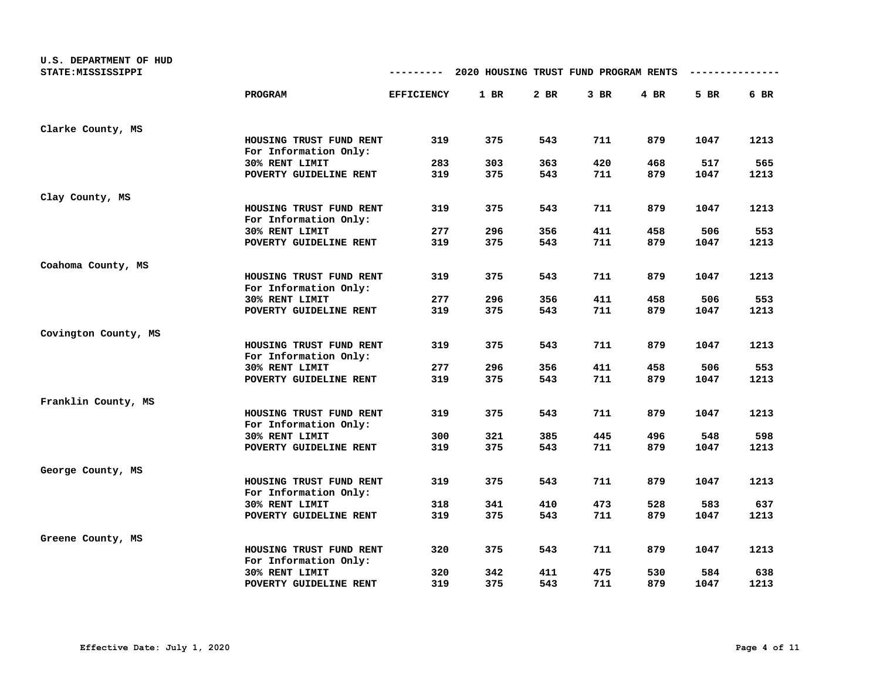| U.S. DEPARTMENT OF HUD |                                                  |                   |                                       |      |        |        |      |      |
|------------------------|--------------------------------------------------|-------------------|---------------------------------------|------|--------|--------|------|------|
| STATE: MISSISSIPPI     |                                                  |                   | 2020 HOUSING TRUST FUND PROGRAM RENTS |      |        |        |      |      |
|                        | <b>PROGRAM</b>                                   | <b>EFFICIENCY</b> | 1 BR                                  | 2 BR | $3$ BR | $4$ BR | 5 BR | 6 BR |
| Clarke County, MS      |                                                  |                   |                                       |      |        |        |      |      |
|                        | HOUSING TRUST FUND RENT<br>For Information Only: | 319               | 375                                   | 543  | 711    | 879    | 1047 | 1213 |
|                        | 30% RENT LIMIT                                   | 283               | 303                                   | 363  | 420    | 468    | 517  | 565  |
|                        | POVERTY GUIDELINE RENT                           | 319               | 375                                   | 543  | 711    | 879    | 1047 | 1213 |
| Clay County, MS        |                                                  |                   |                                       |      |        |        |      |      |
|                        | HOUSING TRUST FUND RENT<br>For Information Only: | 319               | 375                                   | 543  | 711    | 879    | 1047 | 1213 |
|                        | 30% RENT LIMIT                                   | 277               | 296                                   | 356  | 411    | 458    | 506  | 553  |
|                        | POVERTY GUIDELINE RENT                           | 319               | 375                                   | 543  | 711    | 879    | 1047 | 1213 |
| Coahoma County, MS     |                                                  |                   |                                       |      |        |        |      |      |
|                        | HOUSING TRUST FUND RENT<br>For Information Only: | 319               | 375                                   | 543  | 711    | 879    | 1047 | 1213 |
|                        | 30% RENT LIMIT                                   | 277               | 296                                   | 356  | 411    | 458    | 506  | 553  |
|                        | POVERTY GUIDELINE RENT                           | 319               | 375                                   | 543  | 711    | 879    | 1047 | 1213 |
| Covington County, MS   |                                                  |                   |                                       |      |        |        |      |      |
|                        | HOUSING TRUST FUND RENT<br>For Information Only: | 319               | 375                                   | 543  | 711    | 879    | 1047 | 1213 |
|                        | 30% RENT LIMIT                                   | 277               | 296                                   | 356  | 411    | 458    | 506  | 553  |
|                        | POVERTY GUIDELINE RENT                           | 319               | 375                                   | 543  | 711    | 879    | 1047 | 1213 |
| Franklin County, MS    |                                                  |                   |                                       |      |        |        |      |      |
|                        | HOUSING TRUST FUND RENT<br>For Information Only: | 319               | 375                                   | 543  | 711    | 879    | 1047 | 1213 |
|                        | 30% RENT LIMIT                                   | 300               | 321                                   | 385  | 445    | 496    | 548  | 598  |
|                        | POVERTY GUIDELINE RENT                           | 319               | 375                                   | 543  | 711    | 879    | 1047 | 1213 |
| George County, MS      |                                                  |                   |                                       |      |        |        |      |      |
|                        | HOUSING TRUST FUND RENT<br>For Information Only: | 319               | 375                                   | 543  | 711    | 879    | 1047 | 1213 |
|                        | 30% RENT LIMIT                                   | 318               | 341                                   | 410  | 473    | 528    | 583  | 637  |
|                        | POVERTY GUIDELINE RENT                           | 319               | 375                                   | 543  | 711    | 879    | 1047 | 1213 |
| Greene County, MS      |                                                  |                   |                                       |      |        |        |      |      |
|                        | HOUSING TRUST FUND RENT<br>For Information Only: | 320               | 375                                   | 543  | 711    | 879    | 1047 | 1213 |
|                        | 30% RENT LIMIT                                   | 320               | 342                                   | 411  | 475    | 530    | 584  | 638  |
|                        | POVERTY GUIDELINE RENT                           | 319               | 375                                   | 543  | 711    | 879    | 1047 | 1213 |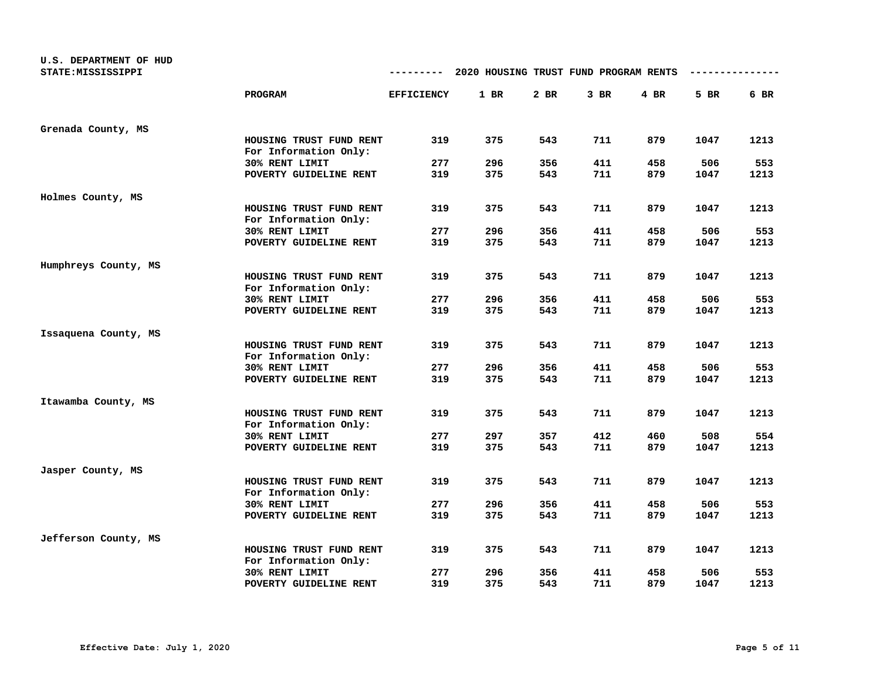| U.S. DEPARTMENT OF HUD<br>STATE: MISSISSIPPI |                                                  | ---------         | 2020 HOUSING TRUST FUND PROGRAM RENTS |      |        |        |      |      |
|----------------------------------------------|--------------------------------------------------|-------------------|---------------------------------------|------|--------|--------|------|------|
|                                              | PROGRAM                                          | <b>EFFICIENCY</b> | 1 BR                                  | 2 BR | $3$ BR | $4$ BR | 5 BR | 6 BR |
| Grenada County, MS                           |                                                  |                   |                                       |      |        |        |      |      |
|                                              | HOUSING TRUST FUND RENT<br>For Information Only: | 319               | 375                                   | 543  | 711    | 879    | 1047 | 1213 |
|                                              | 30% RENT LIMIT                                   | 277               | 296                                   | 356  | 411    | 458    | 506  | 553  |
|                                              | POVERTY GUIDELINE RENT                           | 319               | 375                                   | 543  | 711    | 879    | 1047 | 1213 |
| Holmes County, MS                            |                                                  |                   |                                       |      |        |        |      |      |
|                                              | HOUSING TRUST FUND RENT<br>For Information Only: | 319               | 375                                   | 543  | 711    | 879    | 1047 | 1213 |
|                                              | 30% RENT LIMIT                                   | 277               | 296                                   | 356  | 411    | 458    | 506  | 553  |
|                                              | POVERTY GUIDELINE RENT                           | 319               | 375                                   | 543  | 711    | 879    | 1047 | 1213 |
| Humphreys County, MS                         |                                                  |                   |                                       |      |        |        |      |      |
|                                              | HOUSING TRUST FUND RENT<br>For Information Only: | 319               | 375                                   | 543  | 711    | 879    | 1047 | 1213 |
|                                              | 30% RENT LIMIT                                   | 277               | 296                                   | 356  | 411    | 458    | 506  | 553  |
|                                              | POVERTY GUIDELINE RENT                           | 319               | 375                                   | 543  | 711    | 879    | 1047 | 1213 |
| Issaquena County, MS                         |                                                  |                   |                                       |      |        |        |      |      |
|                                              | HOUSING TRUST FUND RENT<br>For Information Only: | 319               | 375                                   | 543  | 711    | 879    | 1047 | 1213 |
|                                              | 30% RENT LIMIT                                   | 277               | 296                                   | 356  | 411    | 458    | 506  | 553  |
|                                              | POVERTY GUIDELINE RENT                           | 319               | 375                                   | 543  | 711    | 879    | 1047 | 1213 |
| Itawamba County, MS                          |                                                  |                   |                                       |      |        |        |      |      |
|                                              | HOUSING TRUST FUND RENT<br>For Information Only: | 319               | 375                                   | 543  | 711    | 879    | 1047 | 1213 |
|                                              | 30% RENT LIMIT                                   | 277               | 297                                   | 357  | 412    | 460    | 508  | 554  |
|                                              | POVERTY GUIDELINE RENT                           | 319               | 375                                   | 543  | 711    | 879    | 1047 | 1213 |
| Jasper County, MS                            |                                                  |                   |                                       |      |        |        |      |      |
|                                              | HOUSING TRUST FUND RENT<br>For Information Only: | 319               | 375                                   | 543  | 711    | 879    | 1047 | 1213 |
|                                              | 30% RENT LIMIT                                   | 277               | 296                                   | 356  | 411    | 458    | 506  | 553  |
|                                              | POVERTY GUIDELINE RENT                           | 319               | 375                                   | 543  | 711    | 879    | 1047 | 1213 |
| Jefferson County, MS                         |                                                  |                   |                                       |      |        |        |      |      |
|                                              | HOUSING TRUST FUND RENT<br>For Information Only: | 319               | 375                                   | 543  | 711    | 879    | 1047 | 1213 |
|                                              | 30% RENT LIMIT                                   | 277               | 296                                   | 356  | 411    | 458    | 506  | 553  |
|                                              | POVERTY GUIDELINE RENT                           | 319               | 375                                   | 543  | 711    | 879    | 1047 | 1213 |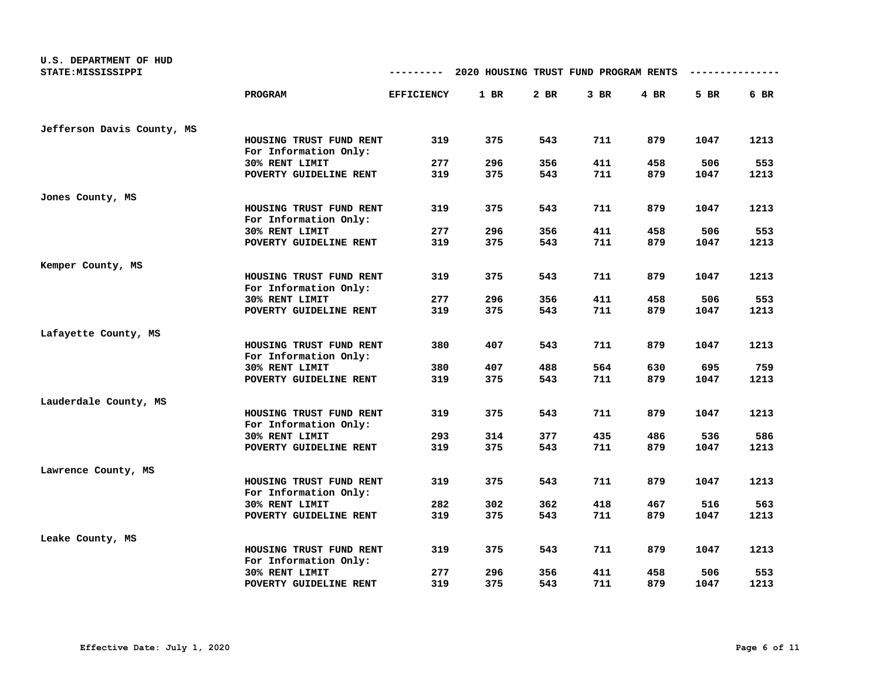| U.S. DEPARTMENT OF HUD<br>STATE: MISSISSIPPI |                                                  | ---------         | 2020 HOUSING TRUST FUND PROGRAM RENTS |      |        |        |      |      |
|----------------------------------------------|--------------------------------------------------|-------------------|---------------------------------------|------|--------|--------|------|------|
|                                              | PROGRAM                                          | <b>EFFICIENCY</b> | 1 BR                                  | 2 BR | $3$ BR | $4$ BR | 5 BR | 6 BR |
| Jefferson Davis County, MS                   |                                                  |                   |                                       |      |        |        |      |      |
|                                              | HOUSING TRUST FUND RENT<br>For Information Only: | 319               | 375                                   | 543  | 711    | 879    | 1047 | 1213 |
|                                              | 30% RENT LIMIT                                   | 277               | 296                                   | 356  | 411    | 458    | 506  | 553  |
|                                              | POVERTY GUIDELINE RENT                           | 319               | 375                                   | 543  | 711    | 879    | 1047 | 1213 |
| Jones County, MS                             |                                                  |                   |                                       |      |        |        |      |      |
|                                              | HOUSING TRUST FUND RENT<br>For Information Only: | 319               | 375                                   | 543  | 711    | 879    | 1047 | 1213 |
|                                              | 30% RENT LIMIT                                   | 277               | 296                                   | 356  | 411    | 458    | 506  | 553  |
|                                              | POVERTY GUIDELINE RENT                           | 319               | 375                                   | 543  | 711    | 879    | 1047 | 1213 |
| Kemper County, MS                            |                                                  |                   |                                       |      |        |        |      |      |
|                                              | HOUSING TRUST FUND RENT<br>For Information Only: | 319               | 375                                   | 543  | 711    | 879    | 1047 | 1213 |
|                                              | 30% RENT LIMIT                                   | 277               | 296                                   | 356  | 411    | 458    | 506  | 553  |
|                                              | POVERTY GUIDELINE RENT                           | 319               | 375                                   | 543  | 711    | 879    | 1047 | 1213 |
| Lafayette County, MS                         |                                                  |                   |                                       |      |        |        |      |      |
|                                              | HOUSING TRUST FUND RENT<br>For Information Only: | 380               | 407                                   | 543  | 711    | 879    | 1047 | 1213 |
|                                              | 30% RENT LIMIT                                   | 380               | 407                                   | 488  | 564    | 630    | 695  | 759  |
|                                              | POVERTY GUIDELINE RENT                           | 319               | 375                                   | 543  | 711    | 879    | 1047 | 1213 |
| Lauderdale County, MS                        |                                                  |                   |                                       |      |        |        |      |      |
|                                              | HOUSING TRUST FUND RENT<br>For Information Only: | 319               | 375                                   | 543  | 711    | 879    | 1047 | 1213 |
|                                              | 30% RENT LIMIT                                   | 293               | 314                                   | 377  | 435    | 486    | 536  | 586  |
|                                              | POVERTY GUIDELINE RENT                           | 319               | 375                                   | 543  | 711    | 879    | 1047 | 1213 |
| Lawrence County, MS                          |                                                  |                   |                                       |      |        |        |      |      |
|                                              | HOUSING TRUST FUND RENT<br>For Information Only: | 319               | 375                                   | 543  | 711    | 879    | 1047 | 1213 |
|                                              | 30% RENT LIMIT                                   | 282               | 302                                   | 362  | 418    | 467    | 516  | 563  |
|                                              | POVERTY GUIDELINE RENT                           | 319               | 375                                   | 543  | 711    | 879    | 1047 | 1213 |
| Leake County, MS                             |                                                  |                   |                                       |      |        |        |      |      |
|                                              | HOUSING TRUST FUND RENT<br>For Information Only: | 319               | 375                                   | 543  | 711    | 879    | 1047 | 1213 |
|                                              | 30% RENT LIMIT                                   | 277               | 296                                   | 356  | 411    | 458    | 506  | 553  |
|                                              | POVERTY GUIDELINE RENT                           | 319               | 375                                   | 543  | 711    | 879    | 1047 | 1213 |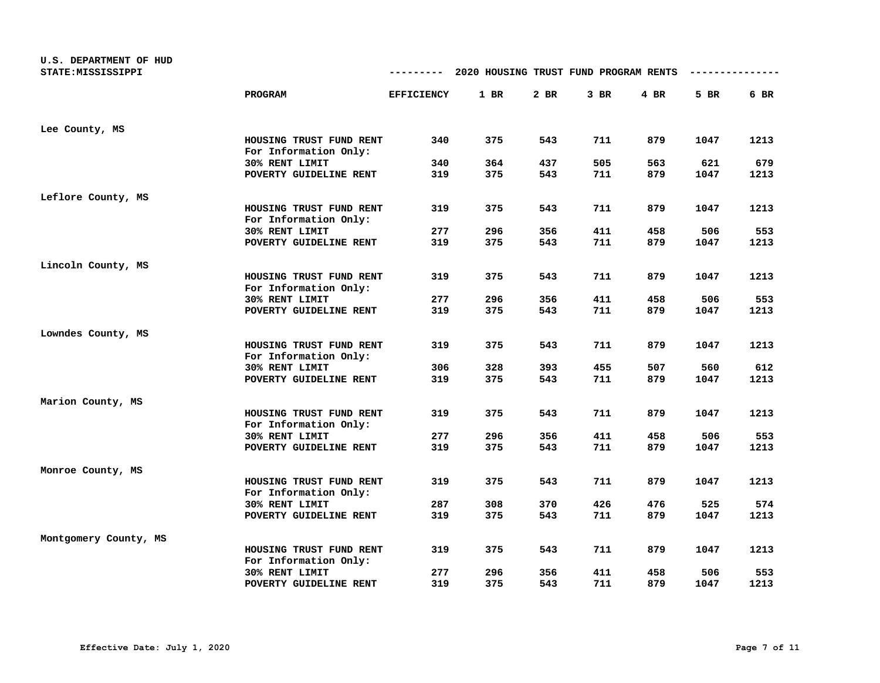| U.S. DEPARTMENT OF HUD<br>STATE: MISSISSIPPI |                                                  | ---------         | 2020 HOUSING TRUST FUND PROGRAM RENTS |      |        |      |      |      |
|----------------------------------------------|--------------------------------------------------|-------------------|---------------------------------------|------|--------|------|------|------|
|                                              | <b>PROGRAM</b>                                   | <b>EFFICIENCY</b> | 1 BR                                  | 2 BR | $3$ BR | 4 BR | 5 BR | 6 BR |
| Lee County, MS                               |                                                  |                   |                                       |      |        |      |      |      |
|                                              | HOUSING TRUST FUND RENT<br>For Information Only: | 340               | 375                                   | 543  | 711    | 879  | 1047 | 1213 |
|                                              | 30% RENT LIMIT                                   | 340               | 364                                   | 437  | 505    | 563  | 621  | 679  |
|                                              | POVERTY GUIDELINE RENT                           | 319               | 375                                   | 543  | 711    | 879  | 1047 | 1213 |
| Leflore County, MS                           |                                                  |                   |                                       |      |        |      |      |      |
|                                              | HOUSING TRUST FUND RENT<br>For Information Only: | 319               | 375                                   | 543  | 711    | 879  | 1047 | 1213 |
|                                              | 30% RENT LIMIT                                   | 277               | 296                                   | 356  | 411    | 458  | 506  | 553  |
|                                              | POVERTY GUIDELINE RENT                           | 319               | 375                                   | 543  | 711    | 879  | 1047 | 1213 |
| Lincoln County, MS                           |                                                  |                   |                                       |      |        |      |      |      |
|                                              | HOUSING TRUST FUND RENT<br>For Information Only: | 319               | 375                                   | 543  | 711    | 879  | 1047 | 1213 |
|                                              | 30% RENT LIMIT                                   | 277               | 296                                   | 356  | 411    | 458  | 506  | 553  |
|                                              | POVERTY GUIDELINE RENT                           | 319               | 375                                   | 543  | 711    | 879  | 1047 | 1213 |
| Lowndes County, MS                           |                                                  |                   |                                       |      |        |      |      |      |
|                                              | HOUSING TRUST FUND RENT<br>For Information Only: | 319               | 375                                   | 543  | 711    | 879  | 1047 | 1213 |
|                                              | 30% RENT LIMIT                                   | 306               | 328                                   | 393  | 455    | 507  | 560  | 612  |
|                                              | POVERTY GUIDELINE RENT                           | 319               | 375                                   | 543  | 711    | 879  | 1047 | 1213 |
| Marion County, MS                            |                                                  |                   |                                       |      |        |      |      |      |
|                                              | HOUSING TRUST FUND RENT<br>For Information Only: | 319               | 375                                   | 543  | 711    | 879  | 1047 | 1213 |
|                                              | 30% RENT LIMIT                                   | 277               | 296                                   | 356  | 411    | 458  | 506  | 553  |
|                                              | POVERTY GUIDELINE RENT                           | 319               | 375                                   | 543  | 711    | 879  | 1047 | 1213 |
| Monroe County, MS                            |                                                  |                   |                                       |      |        |      |      |      |
|                                              | HOUSING TRUST FUND RENT<br>For Information Only: | 319               | 375                                   | 543  | 711    | 879  | 1047 | 1213 |
|                                              | 30% RENT LIMIT                                   | 287               | 308                                   | 370  | 426    | 476  | 525  | 574  |
|                                              | POVERTY GUIDELINE RENT                           | 319               | 375                                   | 543  | 711    | 879  | 1047 | 1213 |
| Montgomery County, MS                        |                                                  |                   |                                       |      |        |      |      |      |
|                                              | HOUSING TRUST FUND RENT<br>For Information Only: | 319               | 375                                   | 543  | 711    | 879  | 1047 | 1213 |
|                                              | 30% RENT LIMIT                                   | 277               | 296                                   | 356  | 411    | 458  | 506  | 553  |
|                                              | POVERTY GUIDELINE RENT                           | 319               | 375                                   | 543  | 711    | 879  | 1047 | 1213 |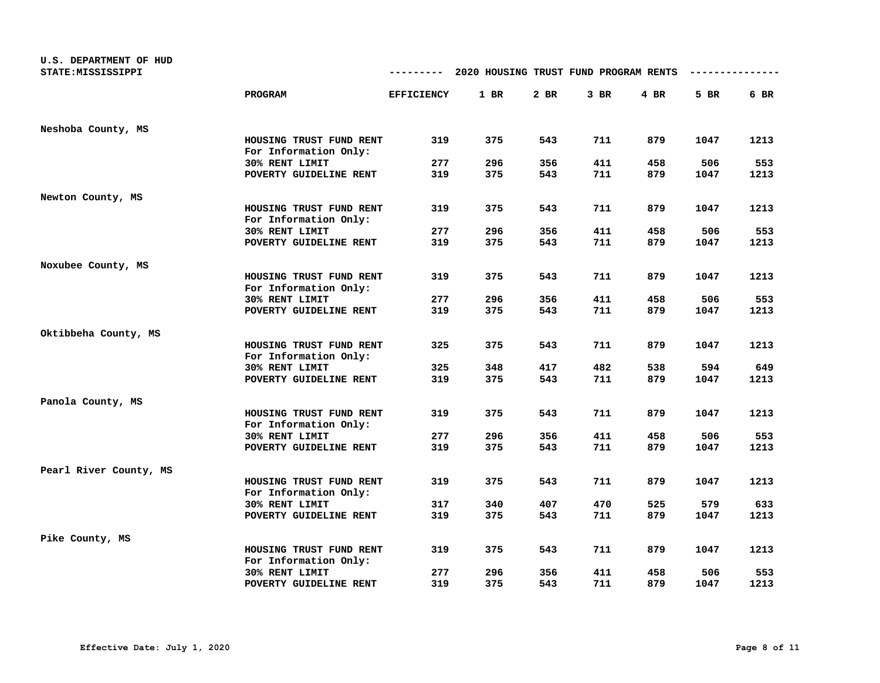| U.S. DEPARTMENT OF HUD<br>STATE: MISSISSIPPI |                         | ---------         | 2020 HOUSING TRUST FUND PROGRAM RENTS |            |        |            |      |      |
|----------------------------------------------|-------------------------|-------------------|---------------------------------------|------------|--------|------------|------|------|
|                                              | <b>PROGRAM</b>          | <b>EFFICIENCY</b> | 1 BR                                  | 2 BR       | $3$ BR | $4$ BR     | 5 BR | 6 BR |
|                                              |                         |                   |                                       |            |        |            |      |      |
| Neshoba County, MS                           |                         |                   |                                       |            |        |            |      |      |
|                                              | HOUSING TRUST FUND RENT | 319               | 375                                   | 543        | 711    | 879        | 1047 | 1213 |
|                                              | For Information Only:   |                   |                                       |            |        |            |      |      |
|                                              | 30% RENT LIMIT          | 277               | 296                                   | 356        | 411    | 458        | 506  | 553  |
|                                              | POVERTY GUIDELINE RENT  | 319               | 375                                   | 543        | 711    | 879        | 1047 | 1213 |
| Newton County, MS                            |                         |                   |                                       |            |        |            |      |      |
|                                              | HOUSING TRUST FUND RENT | 319               | 375                                   | 543        | 711    | 879        | 1047 | 1213 |
|                                              | For Information Only:   |                   |                                       |            |        |            |      |      |
|                                              | 30% RENT LIMIT          | 277               | 296                                   | 356        | 411    | 458        | 506  | 553  |
|                                              | POVERTY GUIDELINE RENT  | 319               | 375                                   | 543        | 711    | 879        | 1047 | 1213 |
| Noxubee County, MS                           |                         |                   |                                       |            |        |            |      |      |
|                                              | HOUSING TRUST FUND RENT | 319               | 375                                   | 543        | 711    | 879        | 1047 | 1213 |
|                                              | For Information Only:   |                   |                                       |            |        |            |      |      |
|                                              | 30% RENT LIMIT          | 277               | 296                                   | 356        | 411    | 458        | 506  | 553  |
|                                              | POVERTY GUIDELINE RENT  | 319               | 375                                   | 543        | 711    | 879        | 1047 | 1213 |
| Oktibbeha County, MS                         |                         |                   |                                       |            |        |            |      |      |
|                                              | HOUSING TRUST FUND RENT | 325               | 375                                   | 543        | 711    | 879        | 1047 | 1213 |
|                                              | For Information Only:   |                   |                                       |            |        |            |      |      |
|                                              | 30% RENT LIMIT          | 325               | 348                                   | 417        | 482    | 538        | 594  | 649  |
|                                              | POVERTY GUIDELINE RENT  | 319               | 375                                   | 543        | 711    | 879        | 1047 | 1213 |
| Panola County, MS                            |                         |                   |                                       |            |        |            |      |      |
|                                              | HOUSING TRUST FUND RENT | 319               | 375                                   | 543        | 711    | 879        | 1047 | 1213 |
|                                              | For Information Only:   |                   |                                       |            |        |            |      |      |
|                                              | 30% RENT LIMIT          | 277               | 296                                   | 356        | 411    | 458        | 506  | 553  |
|                                              | POVERTY GUIDELINE RENT  | 319               | 375                                   | 543        | 711    | 879        | 1047 | 1213 |
| Pearl River County, MS                       |                         |                   |                                       |            |        |            |      |      |
|                                              | HOUSING TRUST FUND RENT | 319               | 375                                   | 543        | 711    | 879        | 1047 | 1213 |
|                                              | For Information Only:   |                   |                                       |            |        |            |      |      |
|                                              | 30% RENT LIMIT          | 317               | 340                                   | 407        | 470    | 525        | 579  | 633  |
|                                              | POVERTY GUIDELINE RENT  | 319               | 375                                   | 543        | 711    | 879        | 1047 | 1213 |
| Pike County, MS                              |                         |                   |                                       |            |        |            |      |      |
|                                              | HOUSING TRUST FUND RENT | 319               | 375                                   | 543        | 711    | 879        | 1047 | 1213 |
|                                              | For Information Only:   |                   |                                       |            |        |            |      |      |
|                                              | 30% RENT LIMIT          | 277<br>319        | 296                                   | 356<br>543 | 411    | 458<br>879 | 506  | 553  |
|                                              | POVERTY GUIDELINE RENT  |                   | 375                                   |            | 711    |            | 1047 | 1213 |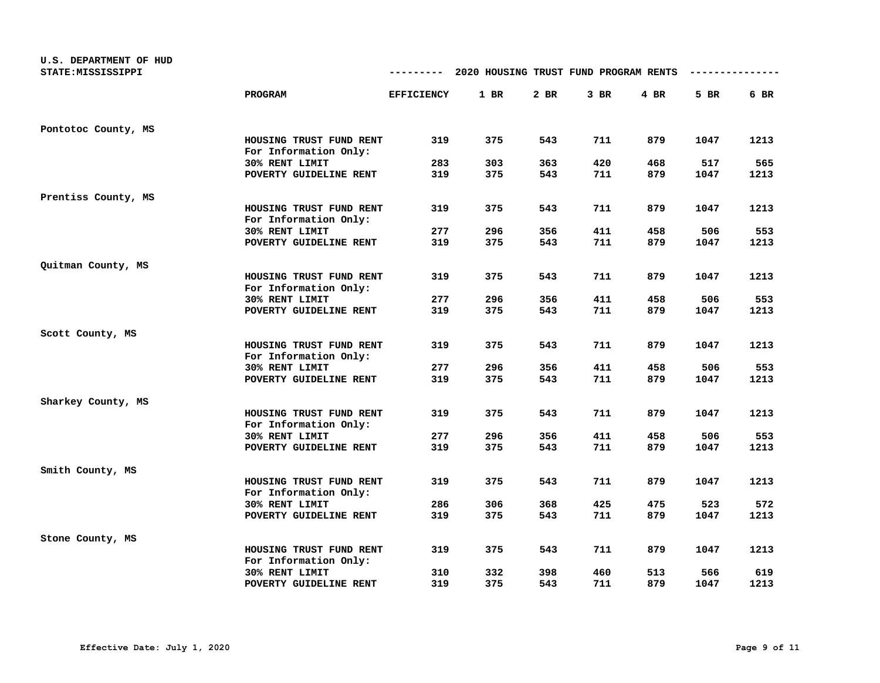| U.S. DEPARTMENT OF HUD<br>STATE: MISSISSIPPI |                                                  | ---------         | 2020 HOUSING TRUST FUND PROGRAM RENTS |        |        |        |      |      |
|----------------------------------------------|--------------------------------------------------|-------------------|---------------------------------------|--------|--------|--------|------|------|
|                                              | <b>PROGRAM</b>                                   | <b>EFFICIENCY</b> | 1 BR                                  | $2$ BR | $3$ BR | $4$ BR | 5 BR | 6 BR |
| Pontotoc County, MS                          |                                                  |                   |                                       |        |        |        |      |      |
|                                              | HOUSING TRUST FUND RENT<br>For Information Only: | 319               | 375                                   | 543    | 711    | 879    | 1047 | 1213 |
|                                              | 30% RENT LIMIT                                   | 283               | 303                                   | 363    | 420    | 468    | 517  | 565  |
|                                              | POVERTY GUIDELINE RENT                           | 319               | 375                                   | 543    | 711    | 879    | 1047 | 1213 |
| Prentiss County, MS                          |                                                  |                   |                                       |        |        |        |      |      |
|                                              | HOUSING TRUST FUND RENT                          | 319               | 375                                   | 543    | 711    | 879    | 1047 | 1213 |
|                                              | For Information Only:<br>30% RENT LIMIT          | 277               | 296                                   | 356    | 411    | 458    | 506  | 553  |
|                                              | POVERTY GUIDELINE RENT                           | 319               | 375                                   | 543    | 711    | 879    | 1047 | 1213 |
|                                              |                                                  |                   |                                       |        |        |        |      |      |
| Quitman County, MS                           | HOUSING TRUST FUND RENT                          | 319               | 375                                   | 543    | 711    | 879    | 1047 | 1213 |
|                                              | For Information Only:                            |                   |                                       |        |        |        |      |      |
|                                              | 30% RENT LIMIT                                   | 277               | 296                                   | 356    | 411    | 458    | 506  | 553  |
|                                              | POVERTY GUIDELINE RENT                           | 319               | 375                                   | 543    | 711    | 879    | 1047 | 1213 |
| Scott County, MS                             |                                                  |                   |                                       |        |        |        |      |      |
|                                              | HOUSING TRUST FUND RENT<br>For Information Only: | 319               | 375                                   | 543    | 711    | 879    | 1047 | 1213 |
|                                              | 30% RENT LIMIT                                   | 277               | 296                                   | 356    | 411    | 458    | 506  | 553  |
|                                              | POVERTY GUIDELINE RENT                           | 319               | 375                                   | 543    | 711    | 879    | 1047 | 1213 |
| Sharkey County, MS                           |                                                  |                   |                                       |        |        |        |      |      |
|                                              | HOUSING TRUST FUND RENT<br>For Information Only: | 319               | 375                                   | 543    | 711    | 879    | 1047 | 1213 |
|                                              | 30% RENT LIMIT                                   | 277               | 296                                   | 356    | 411    | 458    | 506  | 553  |
|                                              | POVERTY GUIDELINE RENT                           | 319               | 375                                   | 543    | 711    | 879    | 1047 | 1213 |
| Smith County, MS                             |                                                  |                   |                                       |        |        |        |      |      |
|                                              | HOUSING TRUST FUND RENT<br>For Information Only: | 319               | 375                                   | 543    | 711    | 879    | 1047 | 1213 |
|                                              | 30% RENT LIMIT                                   | 286               | 306                                   | 368    | 425    | 475    | 523  | 572  |
|                                              | POVERTY GUIDELINE RENT                           | 319               | 375                                   | 543    | 711    | 879    | 1047 | 1213 |
| Stone County, MS                             |                                                  |                   |                                       |        |        |        |      |      |
|                                              | HOUSING TRUST FUND RENT<br>For Information Only: | 319               | 375                                   | 543    | 711    | 879    | 1047 | 1213 |
|                                              | 30% RENT LIMIT                                   | 310               | 332                                   | 398    | 460    | 513    | 566  | 619  |
|                                              | POVERTY GUIDELINE RENT                           | 319               | 375                                   | 543    | 711    | 879    | 1047 | 1213 |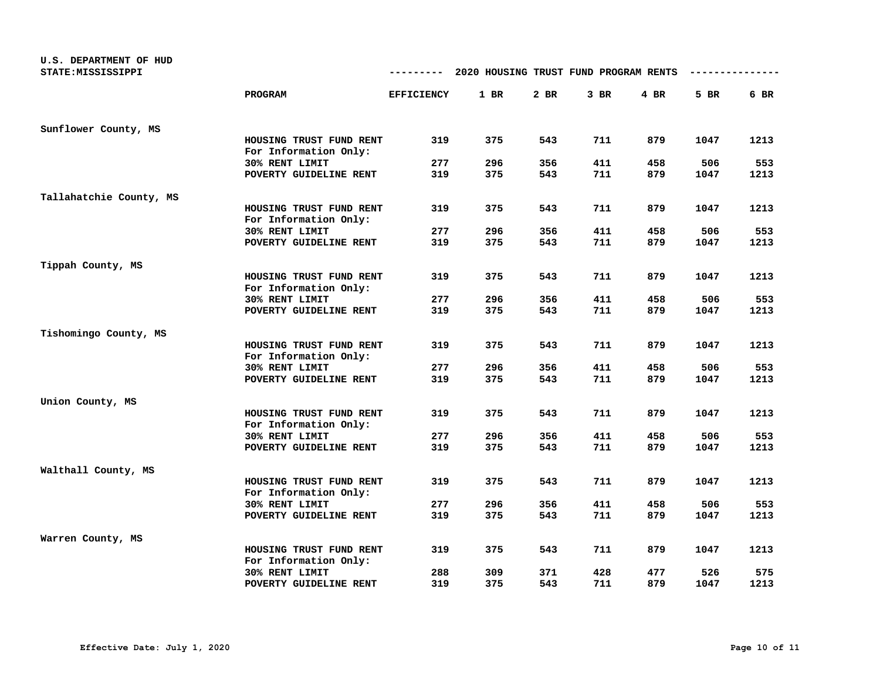| U.S. DEPARTMENT OF HUD  |                                                  |                   |                                       |        |        |        |      |      |
|-------------------------|--------------------------------------------------|-------------------|---------------------------------------|--------|--------|--------|------|------|
| STATE: MISSISSIPPI      |                                                  |                   | 2020 HOUSING TRUST FUND PROGRAM RENTS |        |        |        |      |      |
|                         | <b>PROGRAM</b>                                   | <b>EFFICIENCY</b> | 1 BR                                  | $2$ BR | $3$ BR | $4$ BR | 5 BR | 6 BR |
| Sunflower County, MS    |                                                  |                   |                                       |        |        |        |      |      |
|                         | HOUSING TRUST FUND RENT<br>For Information Only: | 319               | 375                                   | 543    | 711    | 879    | 1047 | 1213 |
|                         | 30% RENT LIMIT                                   | 277               | 296                                   | 356    | 411    | 458    | 506  | 553  |
|                         | POVERTY GUIDELINE RENT                           | 319               | 375                                   | 543    | 711    | 879    | 1047 | 1213 |
| Tallahatchie County, MS |                                                  |                   |                                       |        |        |        |      |      |
|                         | HOUSING TRUST FUND RENT<br>For Information Only: | 319               | 375                                   | 543    | 711    | 879    | 1047 | 1213 |
|                         | 30% RENT LIMIT                                   | 277               | 296                                   | 356    | 411    | 458    | 506  | 553  |
|                         | POVERTY GUIDELINE RENT                           | 319               | 375                                   | 543    | 711    | 879    | 1047 | 1213 |
| Tippah County, MS       |                                                  |                   |                                       |        |        |        |      |      |
|                         | HOUSING TRUST FUND RENT<br>For Information Only: | 319               | 375                                   | 543    | 711    | 879    | 1047 | 1213 |
|                         | 30% RENT LIMIT                                   | 277               | 296                                   | 356    | 411    | 458    | 506  | 553  |
|                         | POVERTY GUIDELINE RENT                           | 319               | 375                                   | 543    | 711    | 879    | 1047 | 1213 |
| Tishomingo County, MS   |                                                  |                   |                                       |        |        |        |      |      |
|                         | HOUSING TRUST FUND RENT<br>For Information Only: | 319               | 375                                   | 543    | 711    | 879    | 1047 | 1213 |
|                         | 30% RENT LIMIT                                   | 277               | 296                                   | 356    | 411    | 458    | 506  | 553  |
|                         | POVERTY GUIDELINE RENT                           | 319               | 375                                   | 543    | 711    | 879    | 1047 | 1213 |
| Union County, MS        |                                                  |                   |                                       |        |        |        |      |      |
|                         | HOUSING TRUST FUND RENT<br>For Information Only: | 319               | 375                                   | 543    | 711    | 879    | 1047 | 1213 |
|                         | 30% RENT LIMIT                                   | 277               | 296                                   | 356    | 411    | 458    | 506  | 553  |
|                         | POVERTY GUIDELINE RENT                           | 319               | 375                                   | 543    | 711    | 879    | 1047 | 1213 |
| Walthall County, MS     |                                                  |                   |                                       |        |        |        |      |      |
|                         | HOUSING TRUST FUND RENT<br>For Information Only: | 319               | 375                                   | 543    | 711    | 879    | 1047 | 1213 |
|                         | 30% RENT LIMIT                                   | 277               | 296                                   | 356    | 411    | 458    | 506  | 553  |
|                         | POVERTY GUIDELINE RENT                           | 319               | 375                                   | 543    | 711    | 879    | 1047 | 1213 |
| Warren County, MS       |                                                  |                   |                                       |        |        |        |      |      |
|                         | HOUSING TRUST FUND RENT<br>For Information Only: | 319               | 375                                   | 543    | 711    | 879    | 1047 | 1213 |
|                         | 30% RENT LIMIT                                   | 288               | 309                                   | 371    | 428    | 477    | 526  | 575  |
|                         | POVERTY GUIDELINE RENT                           | 319               | 375                                   | 543    | 711    | 879    | 1047 | 1213 |